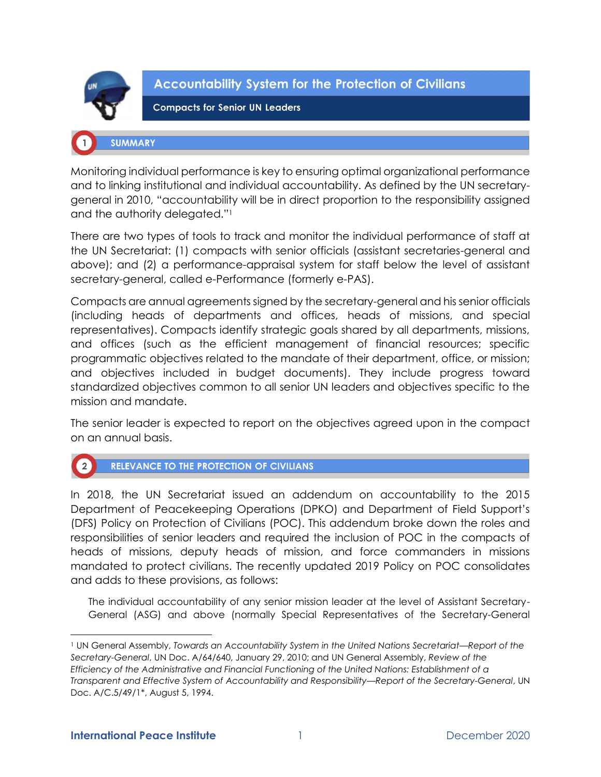

**Accountability System for the Protection of Civilians** 

**Compacts for Senior UN Leaders** 

# **SUMMARY**

Monitoring individual performance is key to ensuring optimal organizational performance and to linking institutional and individual accountability. As defined by the UN secretarygeneral in 2010, "accountability will be in direct proportion to the responsibility assigned and the authority delegated."<sup>1</sup>

There are two types of tools to track and monitor the individual performance of staff at the UN Secretariat: (1) compacts with senior officials (assistant secretaries-general and above); and (2) a performance-appraisal system for staff below the level of assistant secretary-general, called e-Performance (formerly e-PAS).

Compacts are annual agreements signed by the secretary-general and his senior officials (including heads of departments and offices, heads of missions, and special representatives). Compacts identify strategic goals shared by all departments, missions, and offices (such as the efficient management of financial resources; specific programmatic objectives related to the mandate of their department, office, or mission; and objectives included in budget documents). They include progress toward standardized objectives common to all senior UN leaders and objectives specific to the mission and mandate.

The senior leader is expected to report on the objectives agreed upon in the compact on an annual basis.



In 2018, the UN Secretariat issued an addendum on accountability to the 2015 Department of Peacekeeping Operations (DPKO) and Department of Field Support's (DFS) Policy on Protection of Civilians (POC). This addendum broke down the roles and responsibilities of senior leaders and required the inclusion of POC in the compacts of heads of missions, deputy heads of mission, and force commanders in missions mandated to protect civilians. The recently updated 2019 Policy on POC consolidates and adds to these provisions, as follows:

The individual accountability of any senior mission leader at the level of Assistant Secretary-General (ASG) and above (normally Special Representatives of the Secretary-General

<sup>1</sup> UN General Assembly, *Towards an Accountability System in the United Nations Secretariat—Report of the Secretary-General*, UN Doc. A/64/640, January 29, 2010; and UN General Assembly, *Review of the Efficiency of the Administrative and Financial Functioning of the United Nations: Establishment of a Transparent and Effective System of Accountability and Responsibility—Report of the Secretary-General*, UN Doc. A/C.5/49/1\*, August 5, 1994.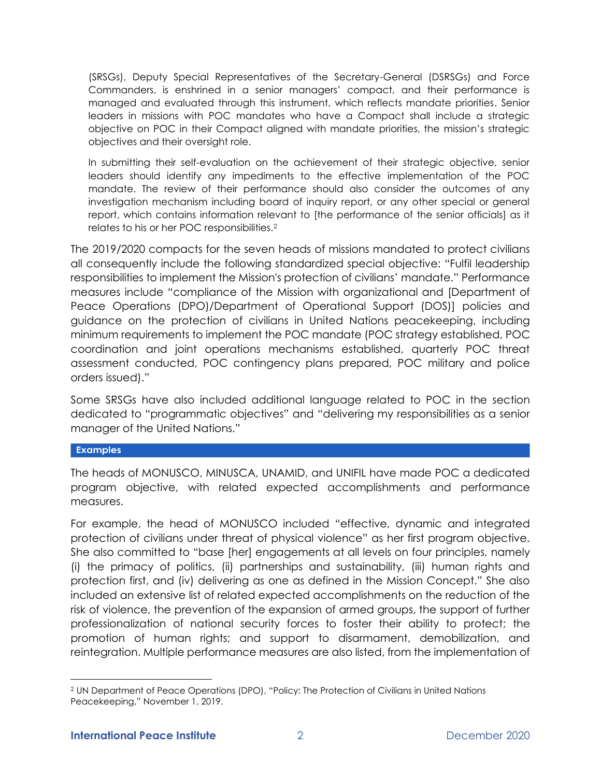(SRSGs), Deputy Special Representatives of the Secretary-General (DSRSGs) and Force Commanders, is enshrined in a senior managers' compact, and their performance is managed and evaluated through this instrument, which reflects mandate priorities. Senior leaders in missions with POC mandates who have a Compact shall include a strategic objective on POC in their Compact aligned with mandate priorities, the mission's strategic objectives and their oversight role.

In submitting their self-evaluation on the achievement of their strategic objective, senior leaders should identify any impediments to the effective implementation of the POC mandate. The review of their performance should also consider the outcomes of any investigation mechanism including board of inquiry report, or any other special or general report, which contains information relevant to [the performance of the senior officials] as it relates to his or her POC responsibilities.<sup>2</sup>

The 2019/2020 compacts for the seven heads of missions mandated to protect civilians all consequently include the following standardized special objective: "Fulfil leadership responsibilities to implement the Mission's protection of civilians' mandate." Performance measures include "compliance of the Mission with organizational and [Department of Peace Operations (DPO)/Department of Operational Support (DOS)] policies and guidance on the protection of civilians in United Nations peacekeeping, including minimum requirements to implement the POC mandate (POC strategy established, POC coordination and joint operations mechanisms established, quarterly POC threat assessment conducted, POC contingency plans prepared, POC military and police orders issued)."

Some SRSGs have also included additional language related to POC in the section dedicated to "programmatic objectives" and "delivering my responsibilities as a senior manager of the United Nations."

### **Examples**

The heads of MONUSCO, MINUSCA, UNAMID, and UNIFIL have made POC a dedicated program objective, with related expected accomplishments and performance measures.

For example, the head of MONUSCO included "effective, dynamic and integrated protection of civilians under threat of physical violence" as her first program objective. She also committed to "base [her] engagements at all levels on four principles, namely (i) the primacy of politics, (ii) partnerships and sustainability, (iii) human rights and protection first, and (iv) delivering as one as defined in the Mission Concept." She also included an extensive list of related expected accomplishments on the reduction of the risk of violence, the prevention of the expansion of armed groups, the support of further professionalization of national security forces to foster their ability to protect; the promotion of human rights; and support to disarmament, demobilization, and reintegration. Multiple performance measures are also listed, from the implementation of

<sup>2</sup> UN Department of Peace Operations (DPO), "Policy: The Protection of Civilians in United Nations Peacekeeping," November 1, 2019.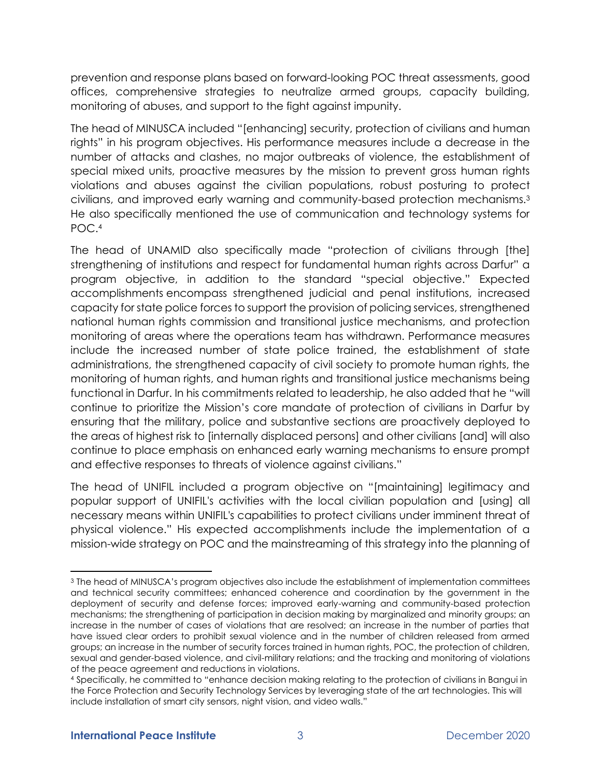prevention and response plans based on forward-looking POC threat assessments, good offices, comprehensive strategies to neutralize armed groups, capacity building, monitoring of abuses, and support to the fight against impunity.

The head of MINUSCA included "[enhancing] security, protection of civilians and human rights" in his program objectives. His performance measures include a decrease in the number of attacks and clashes, no major outbreaks of violence, the establishment of special mixed units, proactive measures by the mission to prevent gross human rights violations and abuses against the civilian populations, robust posturing to protect civilians, and improved early warning and community-based protection mechanisms.<sup>3</sup> He also specifically mentioned the use of communication and technology systems for POC.<sup>4</sup>

The head of UNAMID also specifically made "protection of civilians through [the] strengthening of institutions and respect for fundamental human rights across Darfur" a program objective, in addition to the standard "special objective." Expected accomplishments encompass strengthened judicial and penal institutions, increased capacity for state police forces to support the provision of policing services, strengthened national human rights commission and transitional justice mechanisms, and protection monitoring of areas where the operations team has withdrawn. Performance measures include the increased number of state police trained, the establishment of state administrations, the strengthened capacity of civil society to promote human rights, the monitoring of human rights, and human rights and transitional justice mechanisms being functional in Darfur. In his commitments related to leadership, he also added that he "will continue to prioritize the Mission's core mandate of protection of civilians in Darfur by ensuring that the military, police and substantive sections are proactively deployed to the areas of highest risk to [internally displaced persons] and other civilians [and] will also continue to place emphasis on enhanced early warning mechanisms to ensure prompt and effective responses to threats of violence against civilians."

The head of UNIFIL included a program objective on "[maintaining] legitimacy and popular support of UNIFIL's activities with the local civilian population and [using] all necessary means within UNIFIL's capabilities to protect civilians under imminent threat of physical violence." His expected accomplishments include the implementation of a mission-wide strategy on POC and the mainstreaming of this strategy into the planning of

<sup>3</sup> The head of MINUSCA's program objectives also include the establishment of implementation committees and technical security committees; enhanced coherence and coordination by the government in the deployment of security and defense forces; improved early-warning and community-based protection mechanisms; the strengthening of participation in decision making by marginalized and minority groups; an increase in the number of cases of violations that are resolved; an increase in the number of parties that have issued clear orders to prohibit sexual violence and in the number of children released from armed groups; an increase in the number of security forces trained in human rights, POC, the protection of children, sexual and gender-based violence, and civil-military relations; and the tracking and monitoring of violations of the peace agreement and reductions in violations.

<sup>4</sup> Specifically, he committed to "enhance decision making relating to the protection of civilians in Bangui in the Force Protection and Security Technology Services by leveraging state of the art technologies. This will include installation of smart city sensors, night vision, and video walls."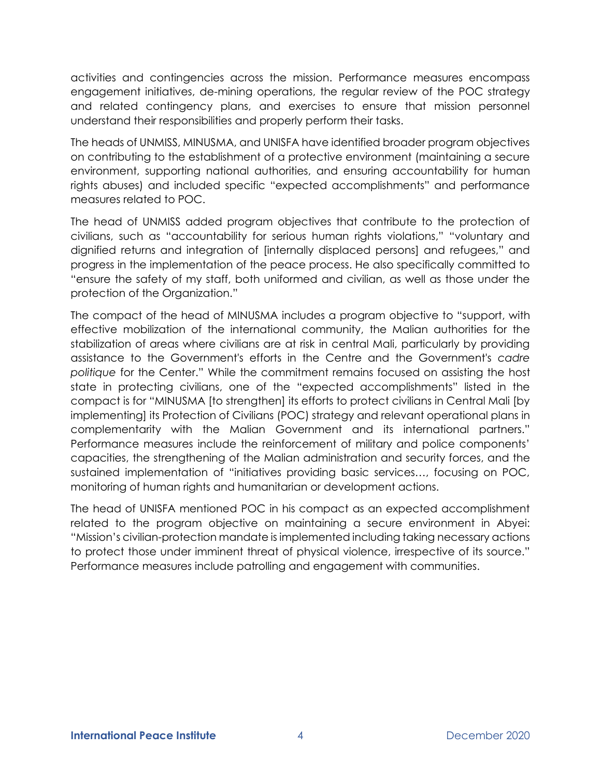activities and contingencies across the mission. Performance measures encompass engagement initiatives, de-mining operations, the regular review of the POC strategy and related contingency plans, and exercises to ensure that mission personnel understand their responsibilities and properly perform their tasks.

The heads of UNMISS, MINUSMA, and UNISFA have identified broader program objectives on contributing to the establishment of a protective environment (maintaining a secure environment, supporting national authorities, and ensuring accountability for human rights abuses) and included specific "expected accomplishments" and performance measures related to POC.

The head of UNMISS added program objectives that contribute to the protection of civilians, such as "accountability for serious human rights violations," "voluntary and dignified returns and integration of [internally displaced persons] and refugees," and progress in the implementation of the peace process. He also specifically committed to "ensure the safety of my staff, both uniformed and civilian, as well as those under the protection of the Organization."

The compact of the head of MINUSMA includes a program objective to "support, with effective mobilization of the international community, the Malian authorities for the stabilization of areas where civilians are at risk in central Mali, particularly by providing assistance to the Government's efforts in the Centre and the Government's *cadre politique* for the Center." While the commitment remains focused on assisting the host state in protecting civilians, one of the "expected accomplishments" listed in the compact is for "MINUSMA [to strengthen] its efforts to protect civilians in Central Mali [by implementing] its Protection of Civilians (POC) strategy and relevant operational plans in complementarity with the Malian Government and its international partners." Performance measures include the reinforcement of military and police components' capacities, the strengthening of the Malian administration and security forces, and the sustained implementation of "initiatives providing basic services…, focusing on POC, monitoring of human rights and humanitarian or development actions.

The head of UNISFA mentioned POC in his compact as an expected accomplishment related to the program objective on maintaining a secure environment in Abyei: "Mission's civilian-protection mandate is implemented including taking necessary actions to protect those under imminent threat of physical violence, irrespective of its source." Performance measures include patrolling and engagement with communities.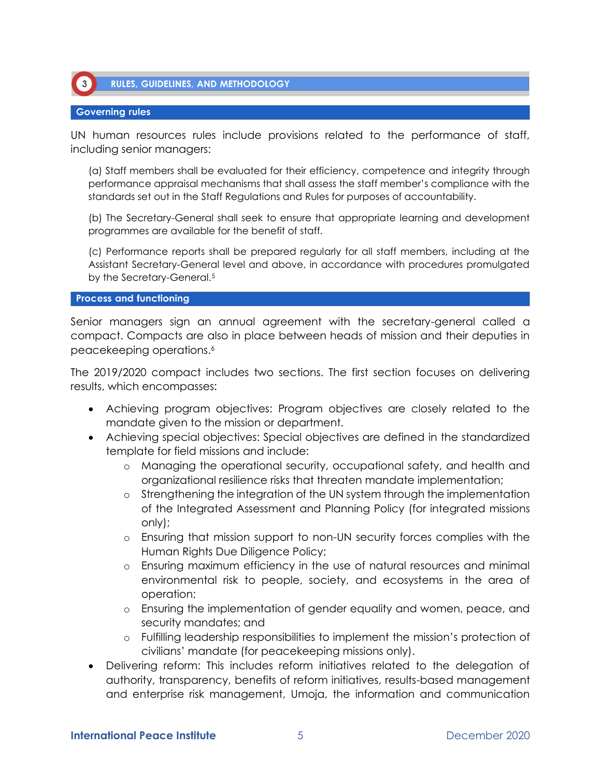

### **Governing rules**

 $\left(3\right)$ 

UN human resources rules include provisions related to the performance of staff, including senior managers:

(a) Staff members shall be evaluated for their efficiency, competence and integrity through performance appraisal mechanisms that shall assess the staff member's compliance with the standards set out in the Staff Regulations and Rules for purposes of accountability.

(b) The Secretary-General shall seek to ensure that appropriate learning and development programmes are available for the benefit of staff.

(c) Performance reports shall be prepared regularly for all staff members, including at the Assistant Secretary-General level and above, in accordance with procedures promulgated by the Secretary-General.<sup>5</sup>

#### **Process and functioning**

Senior managers sign an annual agreement with the secretary-general called a compact. Compacts are also in place between heads of mission and their deputies in peacekeeping operations.<sup>6</sup>

The 2019/2020 compact includes two sections. The first section focuses on delivering results, which encompasses:

- Achieving program objectives: Program objectives are closely related to the mandate given to the mission or department.
- Achieving special objectives: Special objectives are defined in the standardized template for field missions and include:
	- o Managing the operational security, occupational safety, and health and organizational resilience risks that threaten mandate implementation;
	- o Strengthening the integration of the UN system through the implementation of the Integrated Assessment and Planning Policy (for integrated missions only);
	- o Ensuring that mission support to non-UN security forces complies with the Human Rights Due Diligence Policy;
	- o Ensuring maximum efficiency in the use of natural resources and minimal environmental risk to people, society, and ecosystems in the area of operation;
	- o Ensuring the implementation of gender equality and women, peace, and security mandates; and
	- o Fulfilling leadership responsibilities to implement the mission's protection of civilians' mandate (for peacekeeping missions only).
- Delivering reform: This includes reform initiatives related to the delegation of authority, transparency, benefits of reform initiatives, results-based management and enterprise risk management, Umoja, the information and communication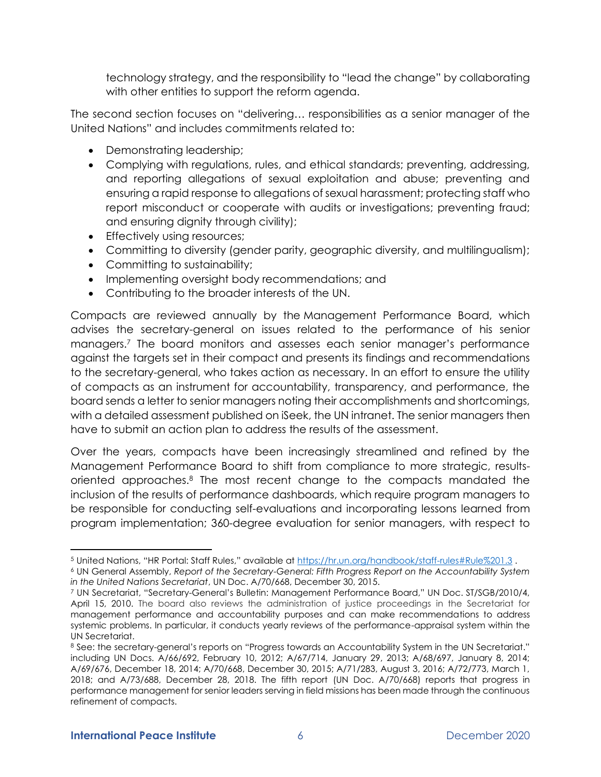technology strategy, and the responsibility to "lead the change" by collaborating with other entities to support the reform agenda.

The second section focuses on "delivering… responsibilities as a senior manager of the United Nations" and includes commitments related to:

- Demonstrating leadership;
- Complying with regulations, rules, and ethical standards; preventing, addressing, and reporting allegations of sexual exploitation and abuse; preventing and ensuring a rapid response to allegations of sexual harassment; protecting staff who report misconduct or cooperate with audits or investigations; preventing fraud; and ensuring dignity through civility);
- Effectively using resources;
- Committing to diversity (gender parity, geographic diversity, and multilingualism);
- Committing to sustainability;
- Implementing oversight body recommendations; and
- Contributing to the broader interests of the UN.

Compacts are reviewed annually by the Management Performance Board, which advises the secretary-general on issues related to the performance of his senior managers.<sup>7</sup> The board monitors and assesses each senior manager's performance against the targets set in their compact and presents its findings and recommendations to the secretary-general, who takes action as necessary. In an effort to ensure the utility of compacts as an instrument for accountability, transparency, and performance, the board sends a letter to senior managers noting their accomplishments and shortcomings, with a detailed assessment published on iSeek, the UN intranet. The senior managers then have to submit an action plan to address the results of the assessment.

Over the years, compacts have been increasingly streamlined and refined by the Management Performance Board to shift from compliance to more strategic, resultsoriented approaches.<sup>8</sup> The most recent change to the compacts mandated the inclusion of the results of performance dashboards, which require program managers to be responsible for conducting self-evaluations and incorporating lessons learned from program implementation; 360-degree evaluation for senior managers, with respect to

<sup>5</sup> United Nations, "HR Portal: Staff Rules," available at <https://hr.un.org/handbook/staff-rules#Rule%201.3> .

<sup>6</sup> UN General Assembly, *Report of the Secretary-General: Fifth Progress Report on the Accountability System in the United Nations Secretariat*, UN Doc. A/70/668, December 30, 2015.

<sup>7</sup> UN Secretariat, "Secretary-General's Bulletin: Management Performance Board," UN Doc. ST/SGB/2010/4, April 15, 2010. The board also reviews the administration of justice proceedings in the Secretariat for management performance and accountability purposes and can make recommendations to address systemic problems. In particular, it conducts yearly reviews of the performance-appraisal system within the UN Secretariat.

<sup>8</sup> See: the secretary-general's reports on "Progress towards an Accountability System in the UN Secretariat." including UN Docs. A/66/692, February 10, 2012; A/67/714, January 29, 2013; A/68/697, January 8, 2014; A/69/676, December 18, 2014; A/70/668, December 30, 2015; A/71/283, August 3, 2016; A/72/773, March 1, 2018; and A/73/688, December 28, 2018. The fifth report (UN Doc. A/70/668) reports that progress in performance management for senior leaders serving in field missions has been made through the continuous refinement of compacts.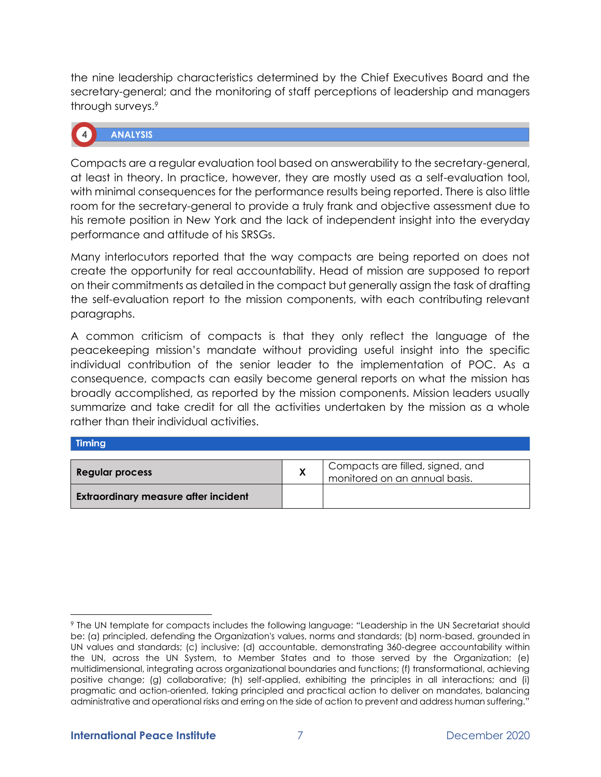the nine leadership characteristics determined by the Chief Executives Board and the secretary-general; and the monitoring of staff perceptions of leadership and managers through surveys.<sup>9</sup>

# **ANALYSIS**

Compacts are a regular evaluation tool based on answerability to the secretary-general, at least in theory. In practice, however, they are mostly used as a self-evaluation tool, with minimal consequences for the performance results being reported. There is also little room for the secretary-general to provide a truly frank and objective assessment due to his remote position in New York and the lack of independent insight into the everyday performance and attitude of his SRSGs.

Many interlocutors reported that the way compacts are being reported on does not create the opportunity for real accountability. Head of mission are supposed to report on their commitments as detailed in the compact but generally assign the task of drafting the self-evaluation report to the mission components, with each contributing relevant paragraphs.

A common criticism of compacts is that they only reflect the language of the peacekeeping mission's mandate without providing useful insight into the specific individual contribution of the senior leader to the implementation of POC. As a consequence, compacts can easily become general reports on what the mission has broadly accomplished, as reported by the mission components. Mission leaders usually summarize and take credit for all the activities undertaken by the mission as a whole rather than their individual activities.

### **Timing**

| Regular process                             | Compacts are filled, signed, and<br>monitored on an annual basis. |  |  |
|---------------------------------------------|-------------------------------------------------------------------|--|--|
| <b>Extraordinary measure after incident</b> |                                                                   |  |  |

<sup>9</sup> The UN template for compacts includes the following language: "Leadership in the UN Secretariat should be: (a) principled, defending the Organization's values, norms and standards; (b) norm-based, grounded in UN values and standards; (c) inclusive; (d) accountable, demonstrating 360-degree accountability within the UN, across the UN System, to Member States and to those served by the Organization; (e) multidimensional, integrating across organizational boundaries and functions; (f) transformational, achieving positive change; (g) collaborative; (h) self-applied, exhibiting the principles in all interactions; and (i) pragmatic and action-oriented, taking principled and practical action to deliver on mandates, balancing administrative and operational risks and erring on the side of action to prevent and address human suffering."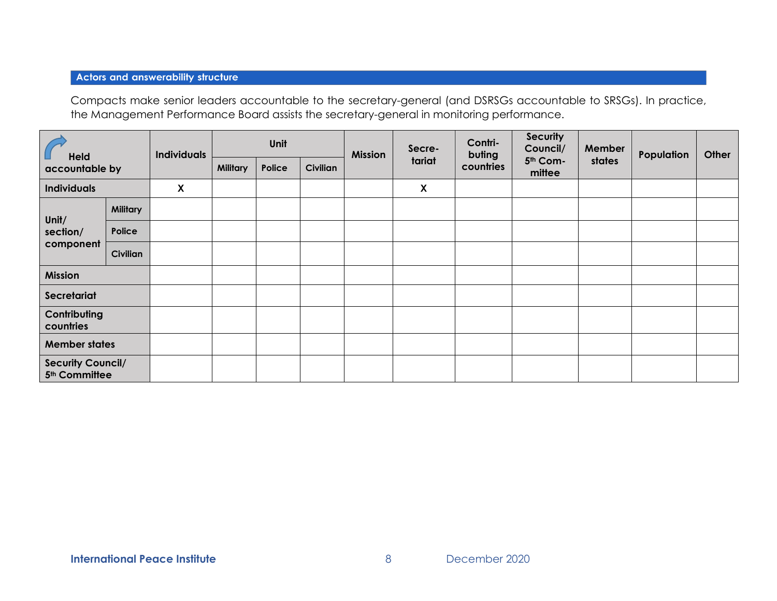# **Actors and answerability structure**

Compacts make senior leaders accountable to the secretary-general (and DSRSGs accountable to SRSGs). In practice, the Management Performance Board assists the secretary-general in monitoring performance.

| <b>Held</b><br>accountable by                         |                 | <b>Individuals</b> | Unit            |        |                 | <b>Mission</b> | Secre-                    | Contri-<br>buting | <b>Security</b><br>Council/ | Member | Population | Other |
|-------------------------------------------------------|-----------------|--------------------|-----------------|--------|-----------------|----------------|---------------------------|-------------------|-----------------------------|--------|------------|-------|
|                                                       |                 |                    | <b>Military</b> | Police | <b>Civilian</b> |                | tariat                    | countries         | 5th Com-<br>mittee          | states |            |       |
| <b>Individuals</b>                                    |                 | $\mathsf{x}$       |                 |        |                 |                | $\boldsymbol{\mathsf{X}}$ |                   |                             |        |            |       |
| Unit/<br>section/<br>component                        | <b>Military</b> |                    |                 |        |                 |                |                           |                   |                             |        |            |       |
|                                                       | Police          |                    |                 |        |                 |                |                           |                   |                             |        |            |       |
|                                                       | <b>Civilian</b> |                    |                 |        |                 |                |                           |                   |                             |        |            |       |
| <b>Mission</b>                                        |                 |                    |                 |        |                 |                |                           |                   |                             |        |            |       |
| Secretariat                                           |                 |                    |                 |        |                 |                |                           |                   |                             |        |            |       |
| Contributing<br>countries                             |                 |                    |                 |        |                 |                |                           |                   |                             |        |            |       |
| <b>Member states</b>                                  |                 |                    |                 |        |                 |                |                           |                   |                             |        |            |       |
| <b>Security Council/</b><br>5 <sup>th</sup> Committee |                 |                    |                 |        |                 |                |                           |                   |                             |        |            |       |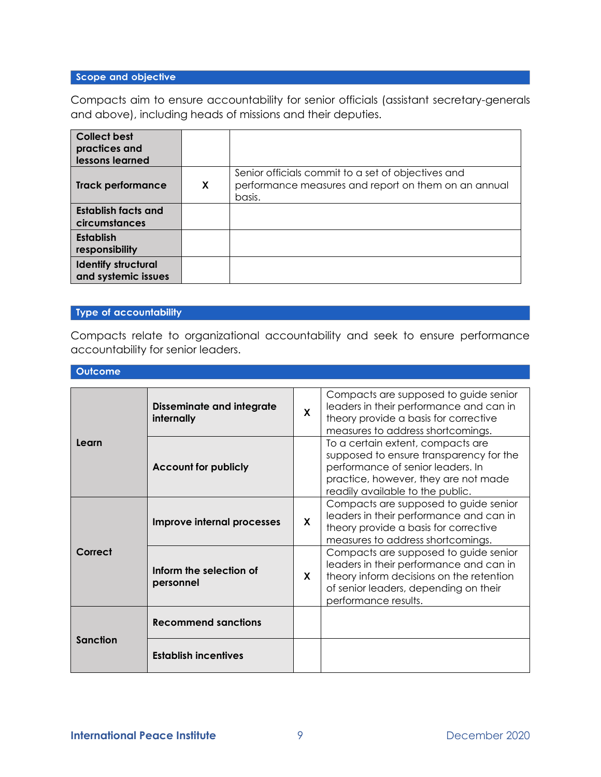# Scope and objective

Compacts aim to ensure accountability for senior officials (assistant secretary-generals and above), including heads of missions and their deputies.

| <b>Collect best</b><br>practices and<br>lessons learned |                           |                                                                                                                      |
|---------------------------------------------------------|---------------------------|----------------------------------------------------------------------------------------------------------------------|
| <b>Track performance</b>                                | $\boldsymbol{\mathsf{x}}$ | Senior officials commit to a set of objectives and<br>performance measures and report on them on an annual<br>basis. |
| Establish facts and<br>circumstances                    |                           |                                                                                                                      |
| <b>Establish</b><br>responsibility                      |                           |                                                                                                                      |
| <b>Identify structural</b><br>and systemic issues       |                           |                                                                                                                      |

## Type of accountability

Compacts relate to organizational accountability and seek to ensure performance accountability for senior leaders.

#### Outcome

| Learn           | <b>Disseminate and integrate</b><br>internally | $\mathbf{x}$ | Compacts are supposed to guide senior<br>leaders in their performance and can in<br>theory provide a basis for corrective<br>measures to address shortcomings.                                |
|-----------------|------------------------------------------------|--------------|-----------------------------------------------------------------------------------------------------------------------------------------------------------------------------------------------|
|                 | <b>Account for publicly</b>                    |              | To a certain extent, compacts are<br>supposed to ensure transparency for the<br>performance of senior leaders. In<br>practice, however, they are not made<br>readily available to the public. |
| Correct         | Improve internal processes                     | X            | Compacts are supposed to guide senior<br>leaders in their performance and can in<br>theory provide a basis for corrective<br>measures to address shortcomings.                                |
|                 | Inform the selection of<br>personnel           | <b>X</b>     | Compacts are supposed to guide senior<br>leaders in their performance and can in<br>theory inform decisions on the retention<br>of senior leaders, depending on their<br>performance results. |
| <b>Sanction</b> | <b>Recommend sanctions</b>                     |              |                                                                                                                                                                                               |
|                 | <b>Establish incentives</b>                    |              |                                                                                                                                                                                               |